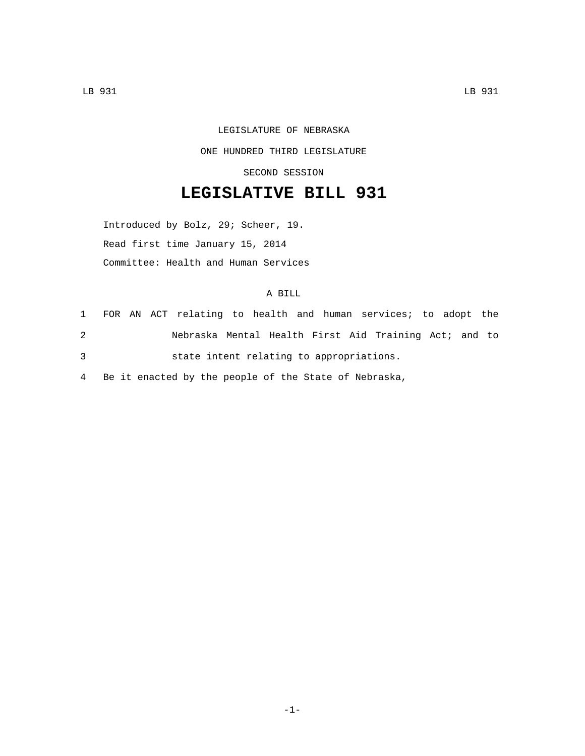## LEGISLATURE OF NEBRASKA ONE HUNDRED THIRD LEGISLATURE SECOND SESSION

## **LEGISLATIVE BILL 931**

Introduced by Bolz, 29; Scheer, 19. Read first time January 15, 2014 Committee: Health and Human Services

## A BILL

|   |  | 1 FOR AN ACT relating to health and human services; to adopt the |  |  |  |  |  |
|---|--|------------------------------------------------------------------|--|--|--|--|--|
| 2 |  | Nebraska Mental Health First Aid Training Act; and to            |  |  |  |  |  |
| 3 |  | state intent relating to appropriations.                         |  |  |  |  |  |

4 Be it enacted by the people of the State of Nebraska,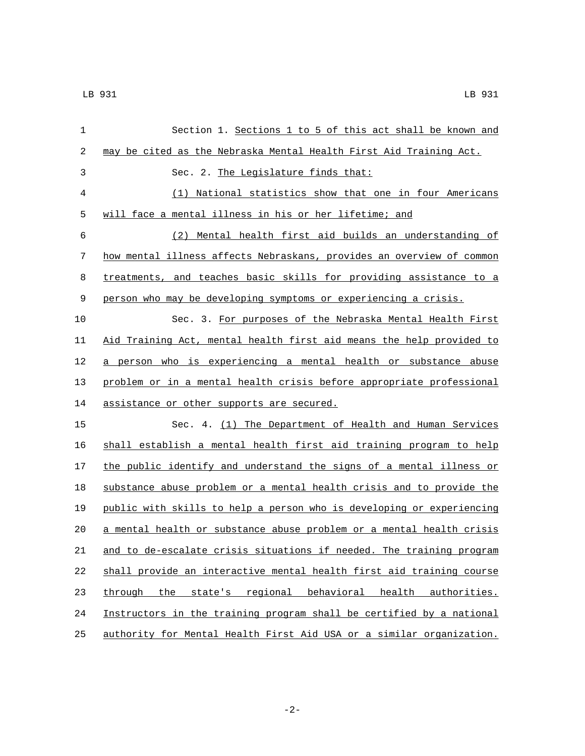| $\mathbf 1$ | Section 1. Sections 1 to 5 of this act shall be known and             |
|-------------|-----------------------------------------------------------------------|
| 2           | may be cited as the Nebraska Mental Health First Aid Training Act.    |
| 3           | Sec. 2. The Legislature finds that:                                   |
| 4           | (1) National statistics show that one in four Americans               |
| 5           | will face a mental illness in his or her lifetime; and                |
| 6           | (2) Mental health first aid builds an understanding of                |
| 7           | how mental illness affects Nebraskans, provides an overview of common |
| 8           | treatments, and teaches basic skills for providing assistance to a    |
| 9           | person who may be developing symptoms or experiencing a crisis.       |
| 10          | Sec. 3. For purposes of the Nebraska Mental Health First              |
| 11          | Aid Training Act, mental health first aid means the help provided to  |
| 12          | a person who is experiencing a mental health or substance abuse       |
| 13          | problem or in a mental health crisis before appropriate professional  |
| 14          | assistance or other supports are secured.                             |
| 15          | Sec. 4. (1) The Department of Health and Human Services               |
| 16          | shall establish a mental health first aid training program to help    |
| 17          | the public identify and understand the signs of a mental illness or   |
| 18          | substance abuse problem or a mental health crisis and to provide the  |
| 19          | public with skills to help a person who is developing or experiencing |
| 20          | a mental health or substance abuse problem or a mental health crisis  |
| 21          | and to de-escalate crisis situations if needed. The training program  |
| 22          | shall provide an interactive mental health first aid training course  |
| 23          | through the<br>state's regional behavioral health authorities.        |
| 24          | Instructors in the training program shall be certified by a national  |
| 25          | authority for Mental Health First Aid USA or a similar organization.  |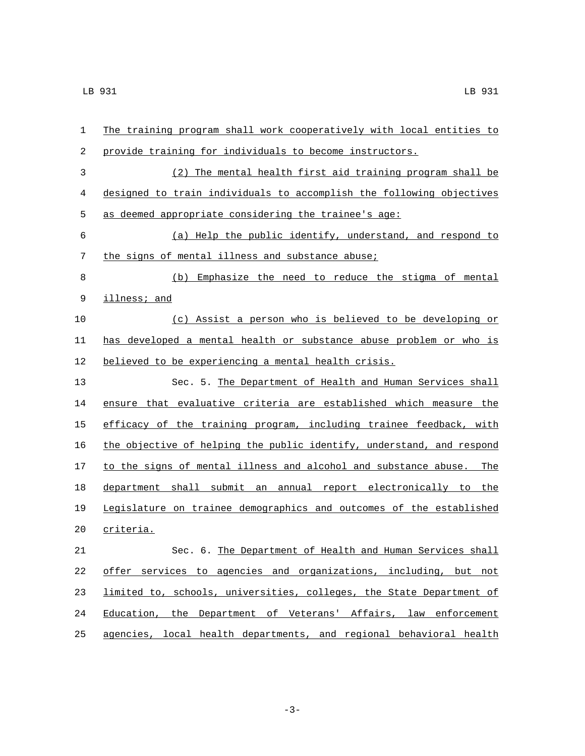| $\mathbf 1$ | The training program shall work cooperatively with local entities to   |
|-------------|------------------------------------------------------------------------|
| 2           | provide training for individuals to become instructors.                |
| 3           | (2) The mental health first aid training program shall be              |
| 4           | designed to train individuals to accomplish the following objectives   |
| 5           | as deemed appropriate considering the trainee's age:                   |
| 6           | (a) Help the public identify, understand, and respond to               |
| 7           | the signs of mental illness and substance abuse;                       |
| 8           | Emphasize the need to reduce the stigma of mental<br>(b)               |
| 9           | illness; and                                                           |
| 10          | (c) Assist a person who is believed to be developing or                |
| 11          | has developed a mental health or substance abuse problem or who is     |
| 12          | believed to be experiencing a mental health crisis.                    |
| 13          | Sec. 5. The Department of Health and Human Services shall              |
| 14          | ensure that evaluative criteria are established which measure the      |
| 15          | efficacy of the training program, including trainee feedback, with     |
| 16          | the objective of helping the public identify, understand, and respond  |
| 17          | to the signs of mental illness and alcohol and substance abuse.<br>The |
| 18          | department shall submit an annual report electronically to the         |
| 19          | Legislature on trainee demographics and outcomes of the established    |
| 20          | criteria.                                                              |
| 21          | Sec. 6. The Department of Health and Human Services shall              |
| 22          | offer services to agencies and organizations, including, but not       |
| 23          | limited to, schools, universities, colleges, the State Department of   |
| 24          | Education, the Department of Veterans' Affairs, law enforcement        |
| 25          | agencies, local health departments, and regional behavioral health     |